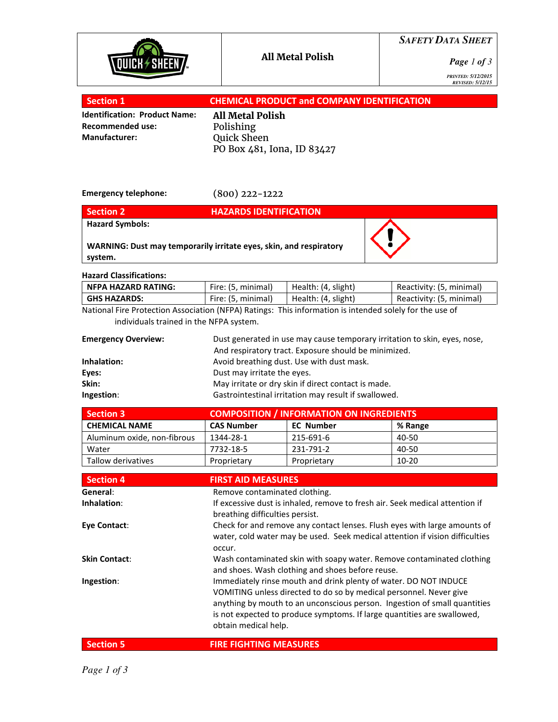

*SAFETY DATA SHEET*

*Page 1 of 3*

*PRINTED: 5/12/2015 REVISED: 5/12/15* 

| Section 1                            | <b>CHEMICAL PRODUCT and COMPANY IDENTIFICATION</b> |
|--------------------------------------|----------------------------------------------------|
| <b>Identification: Product Name:</b> | All Metal Polish                                   |
| <b>Recommended use:</b>              | Polishing                                          |
| Manufacturer:                        | <b>Quick Sheen</b>                                 |
|                                      | PO Box 481, Iona, ID 83427                         |

Emergency telephone:

(800) 222-1222

| <b>Section 2</b>       | <b>HAZARDS IDENTIFICATION</b>                                      |  |
|------------------------|--------------------------------------------------------------------|--|
| <b>Hazard Symbols:</b> | WARNING: Dust may temporarily irritate eyes, skin, and respiratory |  |
| system.                |                                                                    |  |

Hazard Classifications:

| NFPA HAZARD RATING: | Fire: (5, minimal) | Health: (4, slight) | Reactivity: (5, minimal) |
|---------------------|--------------------|---------------------|--------------------------|
| <b>GHS HAZARDS:</b> | Fire: (5, minimal) | Health: (4, slight) | Reactivity: (5, minimal) |

National Fire Protection Association (NFPA) Ratings: This information is intended solely for the use of individuals trained in the NFPA system.

| <b>Emergency Overview:</b> | Dust generated in use may cause temporary irritation to skin, eyes, nose,<br>And respiratory tract. Exposure should be minimized. |
|----------------------------|-----------------------------------------------------------------------------------------------------------------------------------|
| Inhalation:                | Avoid breathing dust. Use with dust mask.                                                                                         |
| Eyes:                      | Dust may irritate the eyes.                                                                                                       |
| Skin:                      | May irritate or dry skin if direct contact is made.                                                                               |
| Ingestion:                 | Gastrointestinal irritation may result if swallowed.                                                                              |

| <b>Section 3</b>            | <b>COMPOSITION / INFORMATION ON INGREDIENTS</b> |                  |         |  |
|-----------------------------|-------------------------------------------------|------------------|---------|--|
| <b>CHEMICAL NAME</b>        | <b>CAS Number</b>                               | <b>EC Number</b> | % Range |  |
| Aluminum oxide, non-fibrous | 1344-28-1                                       | 215-691-6        | 40-50   |  |
| Water                       | 7732-18-5                                       | 231-791-2        | 40-50   |  |
| Tallow derivatives          | Proprietary                                     | Proprietary      | $10-20$ |  |

| <b>Section 4</b>     | <b>FIRST AID MEASURES</b>                                                                                                                                                                                                                                                                                              |
|----------------------|------------------------------------------------------------------------------------------------------------------------------------------------------------------------------------------------------------------------------------------------------------------------------------------------------------------------|
| General:             | Remove contaminated clothing.                                                                                                                                                                                                                                                                                          |
| Inhalation:          | If excessive dust is inhaled, remove to fresh air. Seek medical attention if<br>breathing difficulties persist.                                                                                                                                                                                                        |
| Eye Contact:         | Check for and remove any contact lenses. Flush eyes with large amounts of<br>water, cold water may be used. Seek medical attention if vision difficulties<br>occur.                                                                                                                                                    |
| <b>Skin Contact:</b> | Wash contaminated skin with soapy water. Remove contaminated clothing<br>and shoes. Wash clothing and shoes before reuse.                                                                                                                                                                                              |
| Ingestion:           | Immediately rinse mouth and drink plenty of water. DO NOT INDUCE<br>VOMITING unless directed to do so by medical personnel. Never give<br>anything by mouth to an unconscious person. Ingestion of small quantities<br>is not expected to produce symptoms. If large quantities are swallowed,<br>obtain medical help. |
| <b>Section 5</b>     | <b>FIRE FIGHTING MEASURES</b>                                                                                                                                                                                                                                                                                          |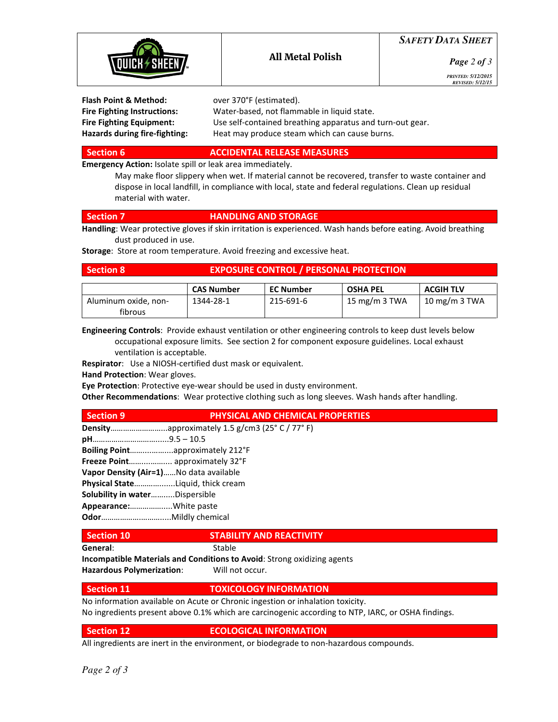

# *SAFETY DATA SHEET*

*Page 2 of 3*

*PRINTED: 5/12/2015 REVISED: 5/12/15* 

| Water-based, not flammable in liquid state.<br><b>Fire Fighting Instructions:</b><br><b>Fire Fighting Equipment:</b> | Flash Point & Method:                | over 370°F (estimated).                                                                                    |
|----------------------------------------------------------------------------------------------------------------------|--------------------------------------|------------------------------------------------------------------------------------------------------------|
|                                                                                                                      |                                      |                                                                                                            |
|                                                                                                                      | <b>Hazards during fire-fighting:</b> | Use self-contained breathing apparatus and turn-out gear.<br>Heat may produce steam which can cause burns. |

## Section 6 ACCIDENTAL RELEASE MEASURES

Emergency Action: Isolate spill or leak area immediately.

 May make floor slippery when wet. If material cannot be recovered, transfer to waste container and dispose in local landfill, in compliance with local, state and federal regulations. Clean up residual material with water.

## Section 7 **HANDLING AND STORAGE**

Handling: Wear protective gloves if skin irritation is experienced. Wash hands before eating. Avoid breathing dust produced in use.

Storage: Store at room temperature. Avoid freezing and excessive heat.

|  | א ection |  |
|--|----------|--|
|  |          |  |
|  |          |  |

# **EXPOSURE CONTROL / PERSONAL PROTECTION**

|                                 | <b>CAS Number</b> | <b>EC Number</b> | <b>OSHA PEL</b> | <b>ACGIH TLV</b> |
|---------------------------------|-------------------|------------------|-----------------|------------------|
| Aluminum oxide, non-<br>fibrous | 1344-28-1         | 215-691-6        | 15 mg/m 3 TWA   | 10 mg/m $3$ TWA  |

Engineering Controls: Provide exhaust ventilation or other engineering controls to keep dust levels below occupational exposure limits. See section 2 for component exposure guidelines. Local exhaust ventilation is acceptable.

Respirator: Use a NIOSH-certified dust mask or equivalent.

Hand Protection: Wear gloves.

Eye Protection: Protective eye-wear should be used in dusty environment.

Other Recommendations: Wear protective clothing such as long sleeves. Wash hands after handling.

## Section 9 **PHYSICAL AND CHEMICAL PROPERTIES**

Density……………………...approximately 1.5 g/cm3 (25° C / 77° F)

pH…………………………......9.5 – 10.5

Boiling Point……....……....approximately 212°F

Freeze Point……....…….... approximately 32°F

Vapor Density (Air=1)……No data available

Physical State………….......Liquid, thick cream

Solubility in water...........Dispersible

Appearance:…………….....White paste

Odor……………….……….....Mildly chemical

# Section 10 STABILITY AND REACTIVITY

General: Stable

Incompatible Materials and Conditions to Avoid: Strong oxidizing agents

Hazardous Polymerization: Will not occur.

# Section 11 **TOXICOLOGY INFORMATION**

No information available on Acute or Chronic ingestion or inhalation toxicity.

No ingredients present above 0.1% which are carcinogenic according to NTP, IARC, or OSHA findings.

# Section 12 **ECOLOGICAL INFORMATION**

All ingredients are inert in the environment, or biodegrade to non-hazardous compounds.